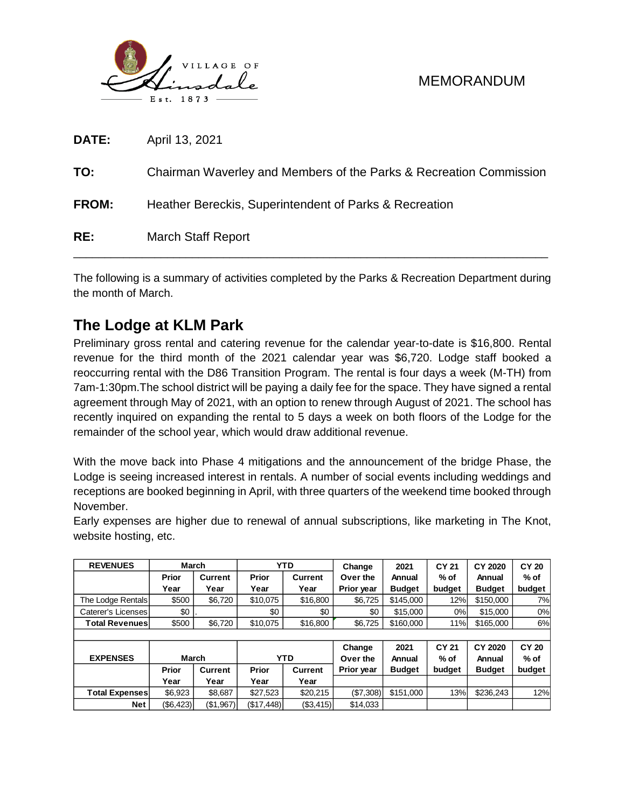

| RE:          | <b>March Staff Report</b>                                          |
|--------------|--------------------------------------------------------------------|
| <b>FROM:</b> | Heather Bereckis, Superintendent of Parks & Recreation             |
| TO:          | Chairman Waverley and Members of the Parks & Recreation Commission |
| <b>DATE:</b> | April 13, 2021                                                     |

The following is a summary of activities completed by the Parks & Recreation Department during the month of March.

## **The Lodge at KLM Park**

Preliminary gross rental and catering revenue for the calendar year-to-date is \$16,800. Rental revenue for the third month of the 2021 calendar year was \$6,720. Lodge staff booked a reoccurring rental with the D86 Transition Program. The rental is four days a week (M-TH) from 7am-1:30pm.The school district will be paying a daily fee for the space. They have signed a rental agreement through May of 2021, with an option to renew through August of 2021. The school has recently inquired on expanding the rental to 5 days a week on both floors of the Lodge for the remainder of the school year, which would draw additional revenue.

With the move back into Phase 4 mitigations and the announcement of the bridge Phase, the Lodge is seeing increased interest in rentals. A number of social events including weddings and receptions are booked beginning in April, with three quarters of the weekend time booked through November.

Early expenses are higher due to renewal of annual subscriptions, like marketing in The Knot, website hosting, etc.

| <b>REVENUES</b>       | <b>March</b> |         |          | <b>YTD</b>     | Change     | 2021          | <b>CY 21</b> | CY 2020       | <b>CY 20</b> |  |
|-----------------------|--------------|---------|----------|----------------|------------|---------------|--------------|---------------|--------------|--|
|                       | <b>Prior</b> | Current | Prior    | <b>Current</b> | Over the   | Annual        | $%$ of       | Annual        | $%$ of       |  |
|                       | Year         | Year    | Year     | Year           | Prior year | <b>Budget</b> | budget       | <b>Budget</b> | budget       |  |
| The Lodge Rentals     | \$500        | \$6,720 | \$10,075 | \$16,800       | \$6,725    | \$145.000     | 12%          | \$150,000     | 7%           |  |
| Caterer's Licenses    | \$0          |         | \$0      | \$0            | \$0        | \$15,000      | 0%           | \$15,000      | 0%           |  |
| <b>Total Revenues</b> | \$500        | \$6,720 | \$10,075 | \$16,800       | \$6,725    | \$160,000     | 11%          | \$165,000     | 6%           |  |
|                       |              |         |          |                |            |               |              |               |              |  |
|                       |              |         |          |                | Change     | 2021          | CY 21        | CY 2020       | <b>CY 20</b> |  |
| <b>EXPENSES</b>       | March        |         |          | <b>YTD</b>     | Over the   | Annual        | $%$ of       | Annual        | $%$ of       |  |
|                       |              |         |          |                |            |               |              |               |              |  |
|                       | Prior        | Current | Prior    | <b>Current</b> | Prior year | <b>Budget</b> | budget       | <b>Budget</b> | budget       |  |
|                       | Year         | Year    | Year     | Year           |            |               |              |               |              |  |
| <b>Total Expenses</b> | \$6,923      | \$8,687 | \$27,523 | \$20,215       | (\$7,308)  | \$151,000     | 13%          | \$236,243     | 12%          |  |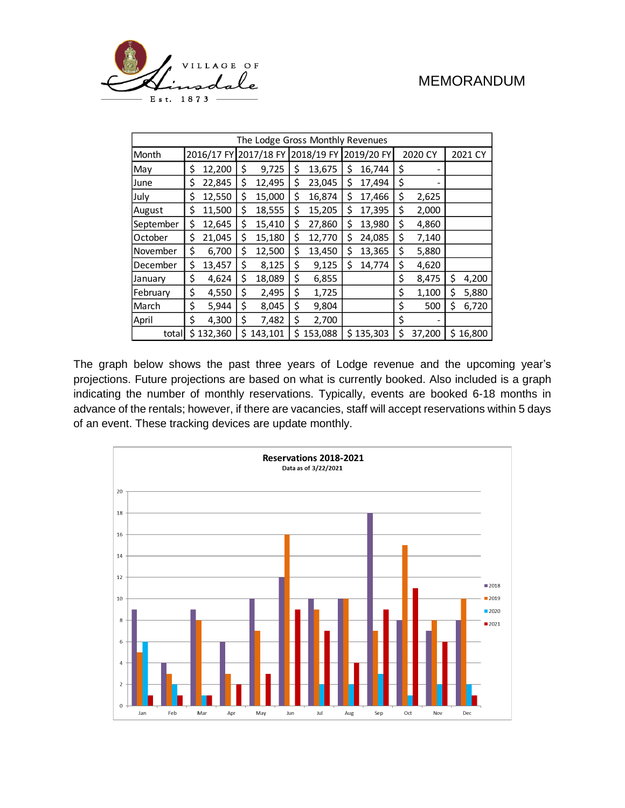

| The Lodge Gross Monthly Revenues |    |           |    |                                  |    |         |            |           |         |        |         |        |
|----------------------------------|----|-----------|----|----------------------------------|----|---------|------------|-----------|---------|--------|---------|--------|
| Month                            |    |           |    | 2016/17 FY 2017/18 FY 2018/19 FY |    |         | 2019/20 FY |           | 2020 CY |        | 2021 CY |        |
| May                              | \$ | 12,200    | \$ | 9,725                            | \$ | 13,675  | \$         | 16,744    | \$      |        |         |        |
| June                             | \$ | 22,845    | \$ | 12,495                           | \$ | 23,045  | Ś          | 17,494    | \$      |        |         |        |
| July                             | \$ | 12,550    | \$ | 15,000                           | \$ | 16,874  | Ś          | 17,466    | \$      | 2,625  |         |        |
| August                           | \$ | 11,500    | \$ | 18,555                           | \$ | 15,205  | \$         | 17,395    | \$      | 2,000  |         |        |
| September                        | \$ | 12,645    | \$ | 15,410                           | \$ | 27,860  | Ś          | 13,980    | \$      | 4,860  |         |        |
| October                          | \$ | 21,045    | \$ | 15,180                           | \$ | 12,770  | \$         | 24,085    | \$      | 7,140  |         |        |
| November                         | \$ | 6,700     | \$ | 12,500                           | \$ | 13,450  | \$         | 13,365    | \$      | 5,880  |         |        |
| December                         | \$ | 13,457    | \$ | 8,125                            | \$ | 9,125   | Ś          | 14,774    | \$      | 4,620  |         |        |
| January                          | \$ | 4,624     | \$ | 18,089                           | \$ | 6,855   |            |           | \$      | 8,475  | \$      | 4,200  |
| February                         | \$ | 4,550     | \$ | 2,495                            | \$ | 1,725   |            |           | \$      | 1,100  | \$      | 5,880  |
| March                            | \$ | 5,944     | \$ | 8,045                            | \$ | 9,804   |            |           | \$      | 500    | \$      | 6,720  |
| April                            | \$ | 4,300     | \$ | 7,482                            | \$ | 2,700   |            |           | \$      |        |         |        |
| total                            |    | \$132,360 | Ś  | 143,101                          | \$ | 153,088 |            | \$135,303 | \$      | 37,200 | Ś       | 16,800 |

The graph below shows the past three years of Lodge revenue and the upcoming year's projections. Future projections are based on what is currently booked. Also included is a graph indicating the number of monthly reservations. Typically, events are booked 6-18 months in advance of the rentals; however, if there are vacancies, staff will accept reservations within 5 days of an event. These tracking devices are update monthly.

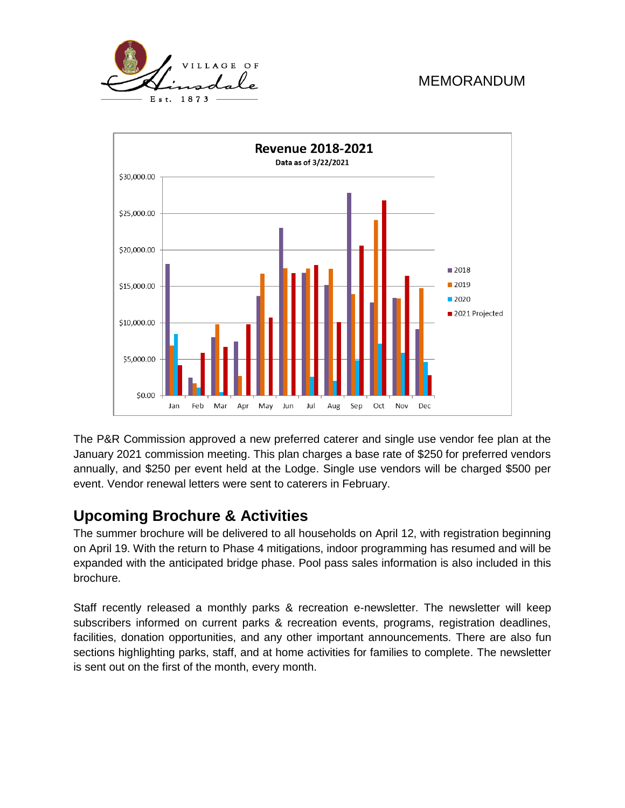



The P&R Commission approved a new preferred caterer and single use vendor fee plan at the January 2021 commission meeting. This plan charges a base rate of \$250 for preferred vendors annually, and \$250 per event held at the Lodge. Single use vendors will be charged \$500 per event. Vendor renewal letters were sent to caterers in February.

### **Upcoming Brochure & Activities**

The summer brochure will be delivered to all households on April 12, with registration beginning on April 19. With the return to Phase 4 mitigations, indoor programming has resumed and will be expanded with the anticipated bridge phase. Pool pass sales information is also included in this brochure.

Staff recently released a monthly parks & recreation e-newsletter. The newsletter will keep subscribers informed on current parks & recreation events, programs, registration deadlines, facilities, donation opportunities, and any other important announcements. There are also fun sections highlighting parks, staff, and at home activities for families to complete. The newsletter is sent out on the first of the month, every month.